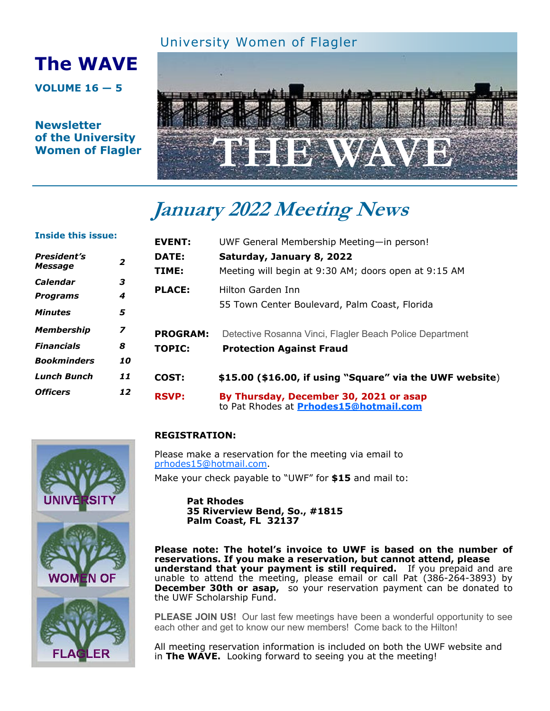### University Women of Flagler

# **The WAVE**

**VOLUME 16 — 5** 

**Newsletter of the University Women of Flagler** 



# **January 2022 Meeting News**

| <b>Inside this issue:</b>          |                | <b>EVENT:</b>   | UWF General Membership Meeting-in person!                                        |
|------------------------------------|----------------|-----------------|----------------------------------------------------------------------------------|
| <b>President's</b><br>2<br>Message |                | DATE:           | Saturday, January 8, 2022                                                        |
| Calendar                           | 3              | TIME:           | Meeting will begin at 9:30 AM; doors open at 9:15 AM                             |
| <b>Programs</b>                    | 4              | <b>PLACE:</b>   | Hilton Garden Inn<br>55 Town Center Boulevard, Palm Coast, Florida               |
| <b>Minutes</b>                     | 5              |                 |                                                                                  |
| <b>Membership</b>                  | $\overline{z}$ | <b>PROGRAM:</b> | Detective Rosanna Vinci, Flagler Beach Police Department                         |
| <b>Financials</b>                  | 8              | <b>TOPIC:</b>   | <b>Protection Against Fraud</b>                                                  |
| <b>Bookminders</b>                 | 10             |                 |                                                                                  |
| <b>Lunch Bunch</b>                 | 11             | COST:           | \$15.00 (\$16.00, if using "Square" via the UWF website)                         |
| <b>Officers</b>                    | 12             | <b>RSVP:</b>    | By Thursday, December 30, 2021 or asap<br>to Pat Rhodes at Prhodes15@hotmail.com |

# **REGISTRATION:**

Please make a reservation for the meeting via email to prhodes15@hotmail.com.

Make your check payable to "UWF" for **\$15** and mail to:

**Pat Rhodes 35 Riverview Bend, So., #1815 Palm Coast, FL 32137**

**Please note: The hotel's invoice to UWF is based on the number of reservations. If you make a reservation, but cannot attend, please understand that your payment is still required.** If you prepaid and are unable to attend the meeting, please email or call Pat (386-264-3893) by **December 30th or asap,** so your reservation payment can be donated to the UWF Scholarship Fund.

**PLEASE JOIN US!** Our last few meetings have been a wonderful opportunity to see each other and get to know our new members! Come back to the Hilton!

All meeting reservation information is included on both the UWF website and in **The WAVE.** Looking forward to seeing you at the meeting!



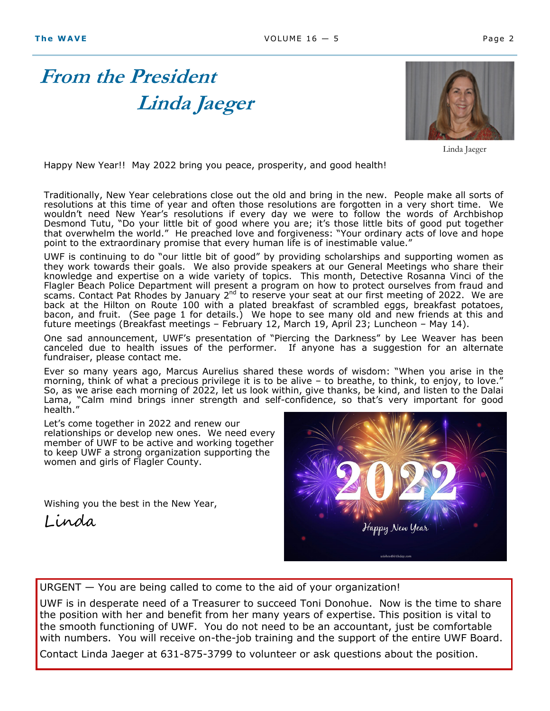# **From the President Linda Jaeger**



Linda Jaeger

Happy New Year!! May 2022 bring you peace, prosperity, and good health!

Traditionally, New Year celebrations close out the old and bring in the new. People make all sorts of resolutions at this time of year and often those resolutions are forgotten in a very short time. We wouldn't need New Year's resolutions if every day we were to follow the words of Archbishop Desmond Tutu, "Do your little bit of good where you are; it's those little bits of good put together that overwhelm the world." He preached love and forgiveness: "Your ordinary acts of love and hope point to the extraordinary promise that every human life is of inestimable value."

UWF is continuing to do "our little bit of good" by providing scholarships and supporting women as they work towards their goals. We also provide speakers at our General Meetings who share their knowledge and expertise on a wide variety of topics. This month, Detective Rosanna Vinci of the Flagler Beach Police Department will present a program on how to protect ourselves from fraud and scams. Contact Pat Rhodes by January 2<sup>nd</sup> to reserve your seat at our first meeting of 2022. We are back at the Hilton on Route 100 with a plated breakfast of scrambled eggs, breakfast potatoes, bacon, and fruit. (See page 1 for details.) We hope to see many old and new friends at this and future meetings (Breakfast meetings – February 12, March 19, April 23; Luncheon – May 14).

One sad announcement, UWF's presentation of "Piercing the Darkness" by Lee Weaver has been canceled due to health issues of the performer. If anyone has a suggestion for an alternate fundraiser, please contact me.

Ever so many years ago, Marcus Aurelius shared these words of wisdom: "When you arise in the morning, think of what a precious privilege it is to be alive  $-$  to breathe, to think, to enjoy, to love." So, as we arise each morning of 2022, let us look within, give thanks, be kind, and listen to the Dalai Lama, "Calm mind brings inner strength and self-confidence, so that's very important for good health."

Let's come together in 2022 and renew our relationships or develop new ones. We need every member of UWF to be active and working together to keep UWF a strong organization supporting the women and girls of Flagler County.

Wishing you the best in the New Year,

Linda



URGENT — You are being called to come to the aid of your organization!

UWF is in desperate need of a Treasurer to succeed Toni Donohue. Now is the time to share the position with her and benefit from her many years of expertise. This position is vital to the smooth functioning of UWF. You do not need to be an accountant, just be comfortable with numbers. You will receive on-the-job training and the support of the entire UWF Board.

Contact Linda Jaeger at 631-875-3799 to volunteer or ask questions about the position.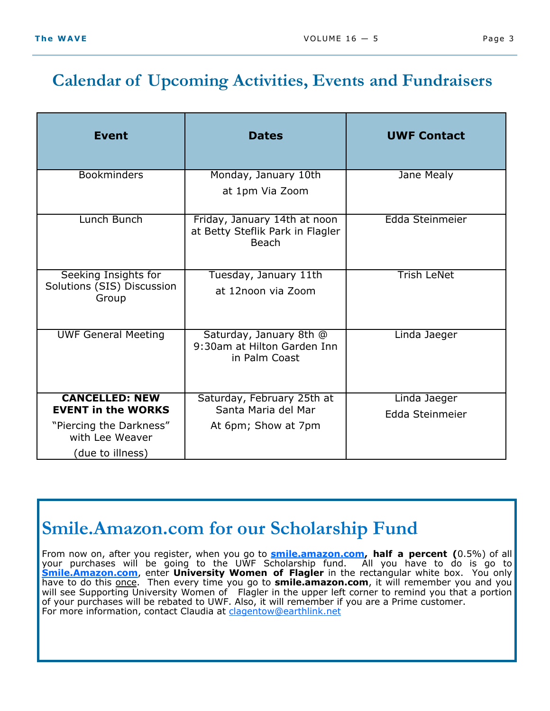## **Calendar of Upcoming Activities, Events and Fundraisers**

| <b>Event</b>                                                | <b>Dates</b>                                                                     | <b>UWF Contact</b>              |  |
|-------------------------------------------------------------|----------------------------------------------------------------------------------|---------------------------------|--|
| <b>Bookminders</b>                                          | Monday, January 10th<br>at 1pm Via Zoom                                          | Jane Mealy                      |  |
| Lunch Bunch                                                 | Friday, January 14th at noon<br>at Betty Steflik Park in Flagler<br><b>Beach</b> | Edda Steinmeier                 |  |
| Seeking Insights for<br>Solutions (SIS) Discussion<br>Group | Tuesday, January 11th<br>at 12noon via Zoom                                      | <b>Trish LeNet</b>              |  |
| <b>UWF General Meeting</b>                                  | Saturday, January 8th @<br>9:30am at Hilton Garden Inn<br>in Palm Coast          | Linda Jaeger                    |  |
| <b>CANCELLED: NEW</b><br><b>EVENT in the WORKS</b>          | Saturday, February 25th at<br>Santa Maria del Mar                                | Linda Jaeger<br>Edda Steinmeier |  |
| "Piercing the Darkness"<br>with Lee Weaver                  | At 6pm; Show at 7pm                                                              |                                 |  |
| (due to illness)                                            |                                                                                  |                                 |  |

## **Smile.Amazon.com for our Scholarship Fund**

From now on, after you register, when you go to **smile.amazon.com, half a percent (**0.5%) of all your purchases will be going to the UWF Scholarship fund. All you have to do is go to **Smile.Amazon.com**, enter **University Women of Flagler** in the rectangular white box. You only have to do this once. Then every time you go to **smile.amazon.com**, it will remember you and you will see Supporting University Women of Flagler in the upper left corner to remind you that a portion of your purchases will be rebated to UWF. Also, it will remember if you are a Prime customer. For more information, contact Claudia at clagentow@earthlink.net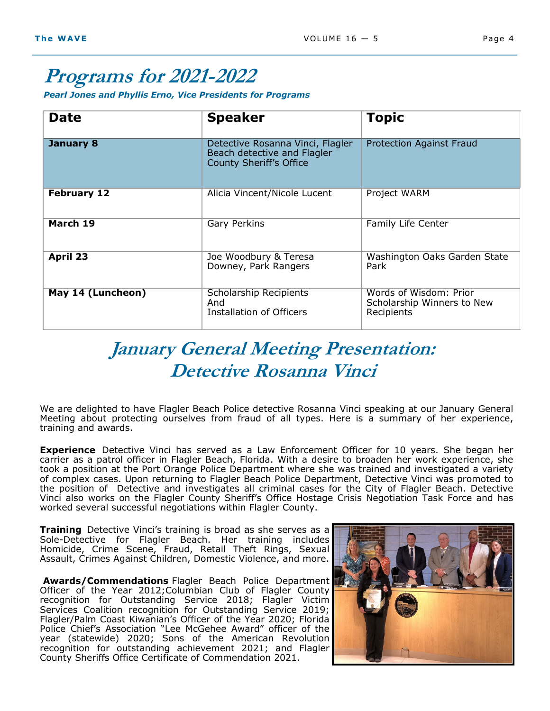## **Programs for 2021-2022**

*Pearl Jones and Phyllis Erno, Vice Presidents for Programs*

| <b>Date</b>        | <b>Speaker</b>                                                                                    | <b>Topic</b>                                                       |
|--------------------|---------------------------------------------------------------------------------------------------|--------------------------------------------------------------------|
| <b>January 8</b>   | Detective Rosanna Vinci, Flagler<br>Beach detective and Flagler<br><b>County Sheriff's Office</b> | <b>Protection Against Fraud</b>                                    |
| <b>February 12</b> | Alicia Vincent/Nicole Lucent                                                                      | Project WARM                                                       |
| March 19           | <b>Gary Perkins</b>                                                                               | Family Life Center                                                 |
| <b>April 23</b>    | Joe Woodbury & Teresa<br>Downey, Park Rangers                                                     | Washington Oaks Garden State<br>Park                               |
| May 14 (Luncheon)  | Scholarship Recipients<br>And<br>Installation of Officers                                         | Words of Wisdom: Prior<br>Scholarship Winners to New<br>Recipients |

## **January General Meeting Presentation: Detective Rosanna Vinci**

We are delighted to have Flagler Beach Police detective Rosanna Vinci speaking at our January General Meeting about protecting ourselves from fraud of all types. Here is a summary of her experience, training and awards.

**Experience** Detective Vinci has served as a Law Enforcement Officer for 10 years. She began her carrier as a patrol officer in Flagler Beach, Florida. With a desire to broaden her work experience, she took a position at the Port Orange Police Department where she was trained and investigated a variety of complex cases. Upon returning to Flagler Beach Police Department, Detective Vinci was promoted to the position of Detective and investigates all criminal cases for the City of Flagler Beach. Detective Vinci also works on the Flagler County Sheriff's Office Hostage Crisis Negotiation Task Force and has worked several successful negotiations within Flagler County.

**Training** Detective Vinci's training is broad as she serves as a Sole-Detective for Flagler Beach. Her training includes Homicide, Crime Scene, Fraud, Retail Theft Rings, Sexual Assault, Crimes Against Children, Domestic Violence, and more.

**Awards/Commendations** Flagler Beach Police Department Officer of the Year 2012;Columbian Club of Flagler County recognition for Outstanding Service 2018; Flagler Victim Services Coalition recognition for Outstanding Service 2019; Flagler/Palm Coast Kiwanian's Officer of the Year 2020; Florida Police Chief's Association "Lee McGehee Award" officer of the year (statewide) 2020; Sons of the American Revolution recognition for outstanding achievement 2021; and Flagler County Sheriffs Office Certificate of Commendation 2021.

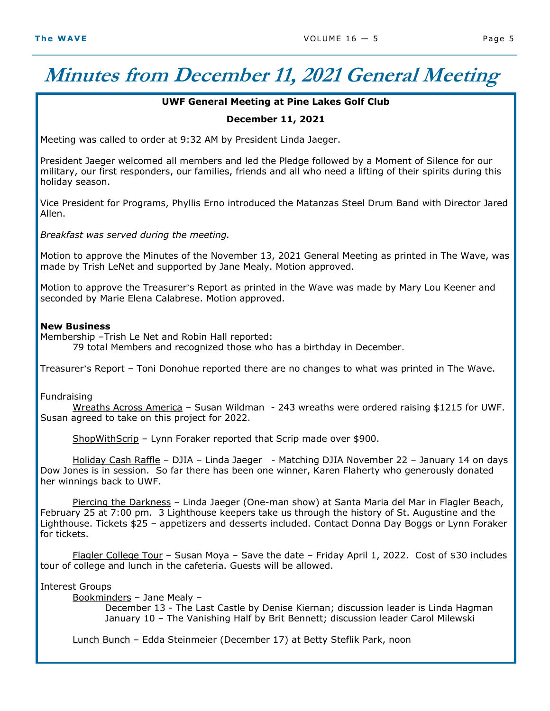# **Minutes from December 11, 2021 General Meeting**

#### **UWF General Meeting at Pine Lakes Golf Club**

#### **December 11, 2021**

Meeting was called to order at 9:32 AM by President Linda Jaeger.

President Jaeger welcomed all members and led the Pledge followed by a Moment of Silence for our military, our first responders, our families, friends and all who need a lifting of their spirits during this holiday season.

Vice President for Programs, Phyllis Erno introduced the Matanzas Steel Drum Band with Director Jared Allen.

*Breakfast was served during the meeting.* 

Motion to approve the Minutes of the November 13, 2021 General Meeting as printed in The Wave, was made by Trish LeNet and supported by Jane Mealy. Motion approved.

Motion to approve the Treasurer's Report as printed in the Wave was made by Mary Lou Keener and seconded by Marie Elena Calabrese. Motion approved.

#### **New Business**

Membership –Trish Le Net and Robin Hall reported:

79 total Members and recognized those who has a birthday in December.

Treasurer's Report – Toni Donohue reported there are no changes to what was printed in The Wave.

Fundraising

Wreaths Across America – Susan Wildman - 243 wreaths were ordered raising \$1215 for UWF. Susan agreed to take on this project for 2022.

ShopWithScrip – Lynn Foraker reported that Scrip made over \$900.

 Holiday Cash Raffle – DJIA – Linda Jaeger - Matching DJIA November 22 – January 14 on days Dow Jones is in session. So far there has been one winner, Karen Flaherty who generously donated her winnings back to UWF.

 Piercing the Darkness – Linda Jaeger (One-man show) at Santa Maria del Mar in Flagler Beach, February 25 at 7:00 pm. 3 Lighthouse keepers take us through the history of St. Augustine and the Lighthouse. Tickets \$25 – appetizers and desserts included. Contact Donna Day Boggs or Lynn Foraker for tickets.

Flagler College Tour - Susan Moya - Save the date - Friday April 1, 2022. Cost of \$30 includes tour of college and lunch in the cafeteria. Guests will be allowed.

Interest Groups

Bookminders – Jane Mealy –

December 13 - The Last Castle by Denise Kiernan; discussion leader is Linda Hagman January 10 – The Vanishing Half by Brit Bennett; discussion leader Carol Milewski

Lunch Bunch – Edda Steinmeier (December 17) at Betty Steflik Park, noon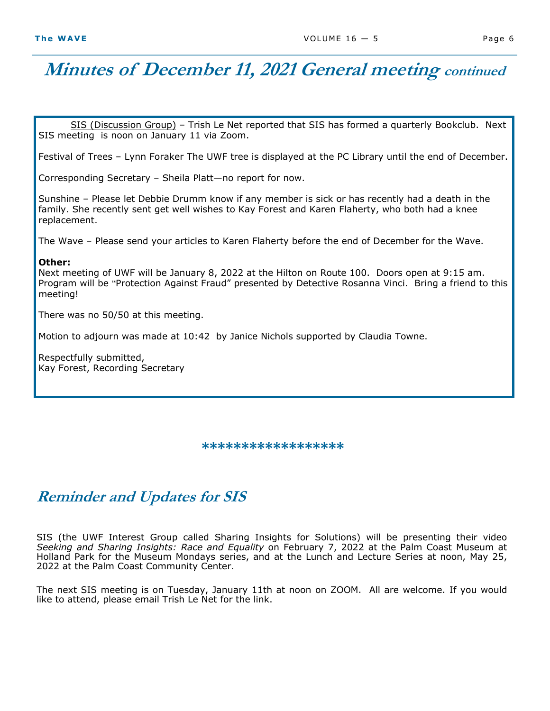## **Minutes of December 11, 2021 General meeting continued**

SIS (Discussion Group) – Trish Le Net reported that SIS has formed a quarterly Bookclub. Next SIS meeting is noon on January 11 via Zoom.

Festival of Trees – Lynn Foraker The UWF tree is displayed at the PC Library until the end of December.

Corresponding Secretary – Sheila Platt—no report for now.

Sunshine – Please let Debbie Drumm know if any member is sick or has recently had a death in the family. She recently sent get well wishes to Kay Forest and Karen Flaherty, who both had a knee replacement.

The Wave – Please send your articles to Karen Flaherty before the end of December for the Wave.

#### **Other:**

Next meeting of UWF will be January 8, 2022 at the Hilton on Route 100. Doors open at 9:15 am. Program will be "Protection Against Fraud" presented by Detective Rosanna Vinci. Bring a friend to this meeting!

There was no 50/50 at this meeting.

Motion to adjourn was made at 10:42 by Janice Nichols supported by Claudia Towne.

Respectfully submitted, Kay Forest, Recording Secretary

**\*\*\*\*\*\*\*\*\*\*\*\*\*\*\*\*\*\*** 

## **Reminder and Updates for SIS**

SIS (the UWF Interest Group called Sharing Insights for Solutions) will be presenting their video *Seeking and Sharing Insights: Race and Equality* on February 7, 2022 at the Palm Coast Museum at Holland Park for the Museum Mondays series, and at the Lunch and Lecture Series at noon, May 25, 2022 at the Palm Coast Community Center.

The next SIS meeting is on Tuesday, January 11th at noon on ZOOM. All are welcome. If you would like to attend, please email Trish Le Net for the link.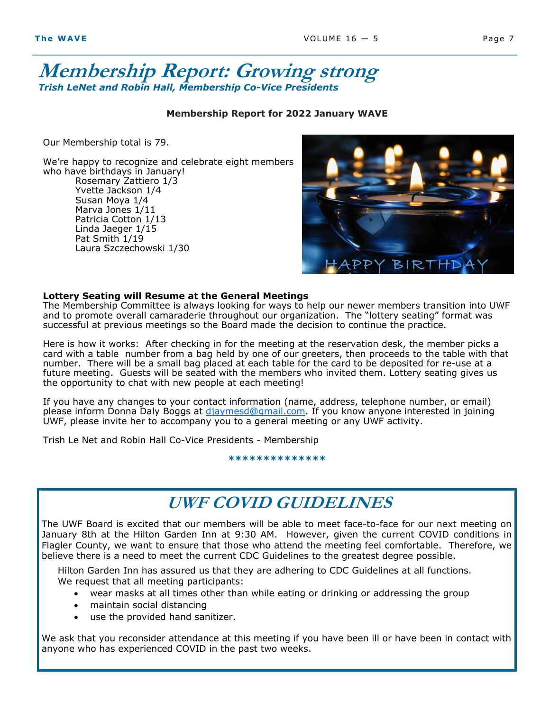### **Membership Report: Growing strong**  *Trish LeNet and Robin Hall, Membership Co-Vice Presidents*

#### **Membership Report for 2022 January WAVE**

Our Membership total is 79.

We're happy to recognize and celebrate eight members who have birthdays in January! Rosemary Zattiero 1/3 Yvette Jackson 1/4 Susan Moya 1/4 Marva Jones 1/11 Patricia Cotton 1/13 Linda Jaeger 1/15 Pat Smith 1/19 Laura Szczechowski 1/30



#### **Lottery Seating will Resume at the General Meetings**

The Membership Committee is always looking for ways to help our newer members transition into UWF and to promote overall camaraderie throughout our organization. The "lottery seating" format was successful at previous meetings so the Board made the decision to continue the practice.

Here is how it works: After checking in for the meeting at the reservation desk, the member picks a card with a table number from a bag held by one of our greeters, then proceeds to the table with that number. There will be a small bag placed at each table for the card to be deposited for re-use at a future meeting. Guests will be seated with the members who invited them. Lottery seating gives us the opportunity to chat with new people at each meeting!

If you have any changes to your contact information (name, address, telephone number, or email) please inform Donna Daly Boggs at djaymesd@gmail.com. If you know anyone interested in joining UWF, please invite her to accompany you to a general meeting or any UWF activity.

Trish Le Net and Robin Hall Co-Vice Presidents - Membership

**\*\*\*\*\*\*\*\*\*\*\*\*\*\***

## **UWF COVID GUIDELINES**

The UWF Board is excited that our members will be able to meet face-to-face for our next meeting on January 8th at the Hilton Garden Inn at 9:30 AM. However, given the current COVID conditions in Flagler County, we want to ensure that those who attend the meeting feel comfortable. Therefore, we believe there is a need to meet the current CDC Guidelines to the greatest degree possible.

Hilton Garden Inn has assured us that they are adhering to CDC Guidelines at all functions. We request that all meeting participants:

- wear masks at all times other than while eating or drinking or addressing the group
- maintain social distancing
- use the provided hand sanitizer.

We ask that you reconsider attendance at this meeting if you have been ill or have been in contact with anyone who has experienced COVID in the past two weeks.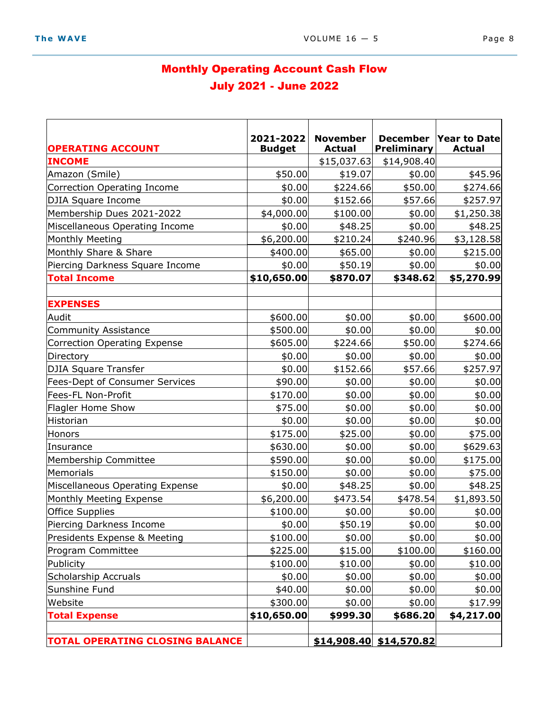### Monthly Operating Account Cash Flow July 2021 - June 2022

| <b>OPERATING ACCOUNT</b>               | 2021-2022<br><b>Budget</b> | <b>November</b><br><b>Actual</b> | <b>December</b><br>Preliminary | Year to Date<br><b>Actual</b> |
|----------------------------------------|----------------------------|----------------------------------|--------------------------------|-------------------------------|
| <b>INCOME</b>                          |                            | \$15,037.63                      | \$14,908.40                    |                               |
| Amazon (Smile)                         | \$50.00                    | \$19.07                          | \$0.00                         | \$45.96                       |
| Correction Operating Income            | \$0.00                     | \$224.66                         | \$50.00                        | \$274.66                      |
| DJIA Square Income                     | \$0.00                     | \$152.66                         | \$57.66                        | \$257.97                      |
| Membership Dues 2021-2022              | \$4,000.00                 | \$100.00                         | \$0.00                         | \$1,250.38                    |
| Miscellaneous Operating Income         | \$0.00                     | \$48.25                          | \$0.00                         | \$48.25                       |
| Monthly Meeting                        | \$6,200.00                 | \$210.24                         | \$240.96                       | \$3,128.58                    |
| Monthly Share & Share                  | \$400.00                   | \$65.00                          | \$0.00                         | \$215.00                      |
| Piercing Darkness Square Income        | \$0.00                     | \$50.19                          | \$0.00                         | \$0.00                        |
| <b>Total Income</b>                    | \$10,650.00                | \$870.07                         | \$348.62                       | \$5,270.99                    |
|                                        |                            |                                  |                                |                               |
| <b>EXPENSES</b>                        |                            |                                  |                                |                               |
| Audit                                  | \$600.00                   | \$0.00                           | \$0.00                         | \$600.00                      |
| <b>Community Assistance</b>            | \$500.00                   | \$0.00                           | \$0.00                         | \$0.00                        |
| Correction Operating Expense           | \$605.00                   | \$224.66                         | \$50.00                        | \$274.66                      |
| Directory                              | \$0.00                     | \$0.00                           | \$0.00                         | \$0.00                        |
| DJIA Square Transfer                   | \$0.00                     | \$152.66                         | \$57.66                        | \$257.97                      |
| <b>Fees-Dept of Consumer Services</b>  | \$90.00                    | \$0.00                           | \$0.00                         | \$0.00                        |
| Fees-FL Non-Profit                     | \$170.00                   | \$0.00                           | \$0.00                         | \$0.00                        |
| Flagler Home Show                      | \$75.00                    | \$0.00                           | \$0.00                         | \$0.00                        |
| Historian                              | \$0.00                     | \$0.00                           | \$0.00                         | \$0.00                        |
| Honors                                 | \$175.00                   | \$25.00                          | \$0.00                         | \$75.00                       |
| Insurance                              | \$630.00                   | \$0.00                           | \$0.00                         | \$629.63                      |
| Membership Committee                   | \$590.00                   | \$0.00                           | \$0.00                         | \$175.00                      |
| Memorials                              | \$150.00                   | \$0.00                           | \$0.00                         | \$75.00                       |
| Miscellaneous Operating Expense        | \$0.00                     | \$48.25                          | \$0.00                         | \$48.25                       |
| Monthly Meeting Expense                | \$6,200.00                 | \$473.54                         | \$478.54                       | \$1,893.50                    |
| Office Supplies                        | \$100.00                   | \$0.00                           | \$0.00                         | \$0.00                        |
| Piercing Darkness Income               | \$0.00                     | \$50.19                          | \$0.00                         | \$0.00                        |
| Presidents Expense & Meeting           | \$100.00                   | \$0.00                           | \$0.00                         | \$0.00                        |
| Program Committee                      | \$225.00                   | \$15.00                          | \$100.00                       | \$160.00                      |
| Publicity                              | \$100.00                   | \$10.00                          | \$0.00                         | \$10.00                       |
| Scholarship Accruals                   | \$0.00                     | \$0.00                           | \$0.00                         | \$0.00                        |
| Sunshine Fund                          | \$40.00                    | \$0.00                           | \$0.00                         | \$0.00                        |
| Website                                | \$300.00                   | \$0.00                           | \$0.00                         | \$17.99                       |
| <b>Total Expense</b>                   | \$10,650.00                | \$999.30                         | \$686.20                       | \$4,217.00                    |
| <b>TOTAL OPERATING CLOSING BALANCE</b> |                            |                                  | $$14,908.40$ \$14,570.82       |                               |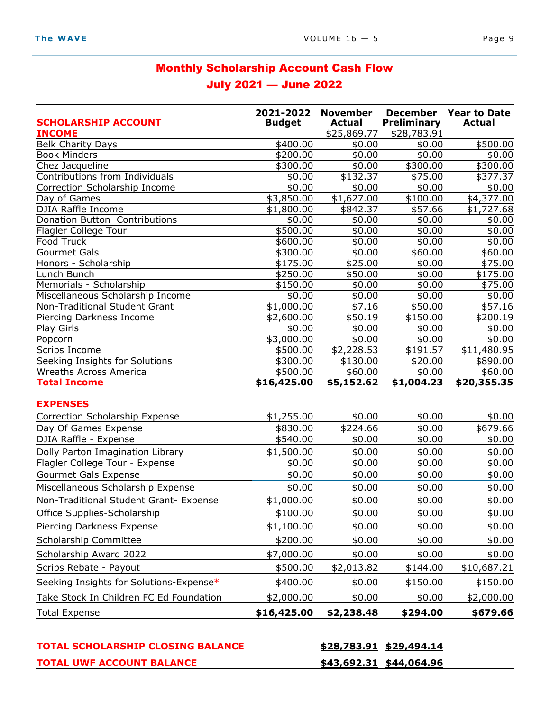## Monthly Scholarship Account Cash Flow July 2021 — June 2022

| <b>SCHOLARSHIP ACCOUNT</b>                | 2021-2022<br><b>Budget</b> | <b>November</b><br><b>Actual</b> | <b>December</b><br><b>Preliminary</b> | <b>Year to Date</b><br><b>Actual</b> |
|-------------------------------------------|----------------------------|----------------------------------|---------------------------------------|--------------------------------------|
| <b>INCOME</b>                             |                            | \$25,869.77                      | \$28,783.91                           |                                      |
| <b>Belk Charity Days</b>                  | \$400.00                   | \$0.00                           | \$0.00                                | \$500.00                             |
| <b>Book Minders</b>                       | \$200.00                   | \$0.00                           | \$0.00                                | \$0.00                               |
| Chez Jacqueline                           | \$300.00                   | \$0.00                           | \$300.00                              | \$300.00                             |
| Contributions from Individuals            | \$0.00                     | \$132.37                         | $\overline{$}75.00$                   | \$377.37                             |
| Correction Scholarship Income             | \$0.00                     | \$0.00                           | \$0.00                                | \$0.00                               |
| Day of Games<br><b>DJIA Raffle Income</b> | \$3,850.00<br>\$1,800.00   | \$1,627.00<br>\$842.37           | \$100.00]<br>\$57.66                  | \$4,377.00<br>\$1,727.68             |
| Donation Button Contributions             | \$0.00                     | \$0.00                           | \$0.00                                | \$0.00                               |
| Flagler College Tour                      | \$500.00                   | \$0.00                           | \$0.00                                | \$0.00                               |
| <b>Food Truck</b>                         | \$600.00                   | \$0.00                           | \$0.00                                | \$0.00                               |
| Gourmet Gals                              | \$300.00                   | \$0.00                           | \$60.00                               | \$60.00                              |
| Honors - Scholarship                      | \$175.00                   | \$25.00                          | \$0.00                                | \$75.00                              |
| Lunch Bunch                               | \$250.00                   | \$50.00                          | \$0.00                                | \$175.00                             |
| Memorials - Scholarship                   | \$150.00                   | \$0.00                           | \$0.00                                | \$75.00                              |
| Miscellaneous Scholarship Income          | \$0.00                     | \$0.00                           | \$0.00                                | \$0.00                               |
| Non-Traditional Student Grant             | \$1,000.00                 | \$7.16                           | \$50.00                               | \$57.16                              |
| Piercing Darkness Income                  | \$2,600.00]                | \$50.19                          | \$150.00                              | \$200.19                             |
| <b>Play Girls</b>                         | \$0.00                     | \$0.00                           | \$0.00                                | \$0.00                               |
| Popcorn<br>Scrips Income                  | \$3,000.00<br>\$500.00     | \$0.00<br>\$2,228.53             | \$0.00<br>\$191.57                    | \$0.00<br>\$11,480.95                |
| Seeking Insights for Solutions            | \$300.00                   | \$130.00                         | \$20.00                               | \$890.00                             |
| <b>Wreaths Across America</b>             | \$500.00                   | \$60.00                          | \$0.00                                | \$60.00                              |
| <b>Total Income</b>                       | \$16,425.00                | \$5,152.62                       | $\overline{$1,004.23}$                | \$20,355.35                          |
| <b>EXPENSES</b>                           |                            |                                  |                                       |                                      |
| Correction Scholarship Expense            | \$1,255.00                 | \$0.00                           | \$0.00                                | \$0.00                               |
| Day Of Games Expense                      | \$830.00                   | \$224.66                         | \$0.00                                | \$679.66                             |
| DJIA Raffle - Expense                     | \$540.00                   | \$0.00                           | \$0.00                                | \$0.00                               |
| Dolly Parton Imagination Library          | \$1,500.00                 | \$0.00                           | \$0.00                                | \$0.00                               |
| Flagler College Tour - Expense            | \$0.00                     | \$0.00                           | \$0.00                                | \$0.00                               |
| Gourmet Gals Expense                      | \$0.00                     | \$0.00                           | \$0.00                                | \$0.00                               |
| Miscellaneous Scholarship Expense         | \$0.00                     | \$0.00                           | \$0.00                                | \$0.00                               |
| Non-Traditional Student Grant- Expense    | \$1,000.00                 | \$0.00                           | \$0.00                                | \$0.00                               |
| Office Supplies-Scholarship               | \$100.00                   | \$0.00                           | \$0.00                                | \$0.00                               |
| Piercing Darkness Expense                 | \$1,100.00                 | \$0.00                           | \$0.00                                | \$0.00                               |
| Scholarship Committee                     | \$200.00                   | \$0.00                           | \$0.00                                | \$0.00                               |
| Scholarship Award 2022                    | \$7,000.00                 | \$0.00                           | \$0.00                                | \$0.00                               |
| Scrips Rebate - Payout                    | \$500.00                   | \$2,013.82                       | \$144.00                              | \$10,687.21                          |
| Seeking Insights for Solutions-Expense*   | \$400.00                   | \$0.00                           | \$150.00                              | \$150.00                             |
| Take Stock In Children FC Ed Foundation   | \$2,000.00                 | \$0.00                           | \$0.00                                | \$2,000.00]                          |
| <b>Total Expense</b>                      | \$16,425.00                | \$2,238.48                       | \$294.00                              | \$679.66                             |
|                                           |                            |                                  |                                       |                                      |
| <b>TOTAL SCHOLARSHIP CLOSING BALANCE</b>  |                            | \$28,783.91                      | \$29,494.14                           |                                      |
| <b>TOTAL UWF ACCOUNT BALANCE</b>          |                            | \$43,692.31                      | \$44,064.96                           |                                      |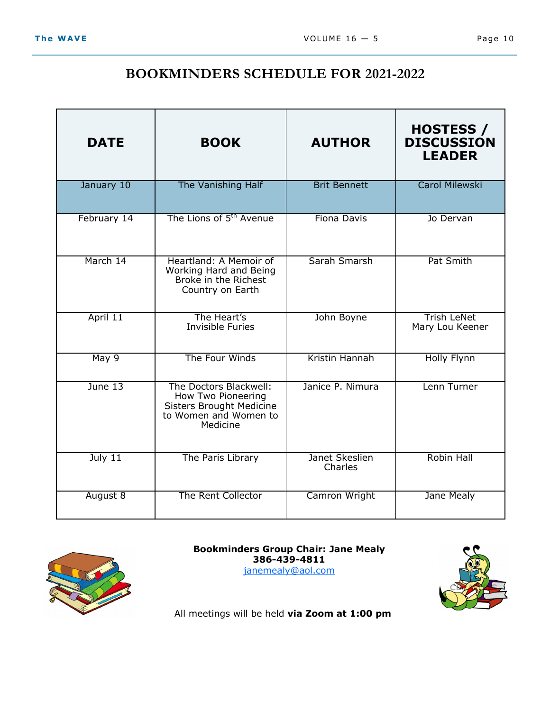### **BOOKMINDERS SCHEDULE FOR 2021-2022**

| <b>DATE</b> | <b>BOOK</b>                                                                                                   | <b>AUTHOR</b>             | <b>HOSTESS /</b><br><b>DISCUSSION</b><br><b>LEADER</b> |
|-------------|---------------------------------------------------------------------------------------------------------------|---------------------------|--------------------------------------------------------|
| January 10  | The Vanishing Half                                                                                            | <b>Brit Bennett</b>       | <b>Carol Milewski</b>                                  |
| February 14 | The Lions of 5 <sup>th</sup> Avenue                                                                           | <b>Fiona Davis</b>        | Jo Dervan                                              |
| March 14    | Heartland: A Memoir of<br>Working Hard and Being<br>Broke in the Richest<br>Country on Earth                  | Sarah Smarsh              | Pat Smith                                              |
| April 11    | The Heart's<br><b>Invisible Furies</b>                                                                        | John Boyne                | <b>Trish LeNet</b><br>Mary Lou Keener                  |
| May 9       | The Four Winds                                                                                                | Kristin Hannah            | <b>Holly Flynn</b>                                     |
| June 13     | The Doctors Blackwell:<br>How Two Pioneering<br>Sisters Brought Medicine<br>to Women and Women to<br>Medicine | Janice P. Nimura          | Lenn Turner                                            |
| July $11$   | The Paris Library                                                                                             | Janet Skeslien<br>Charles | Robin Hall                                             |
| August 8    | The Rent Collector                                                                                            | Camron Wright             | Jane Mealy                                             |



**Bookminders Group Chair: Jane Mealy 386-439-4811** 

janemealy@aol.com



All meetings will be held **via Zoom at 1:00 pm**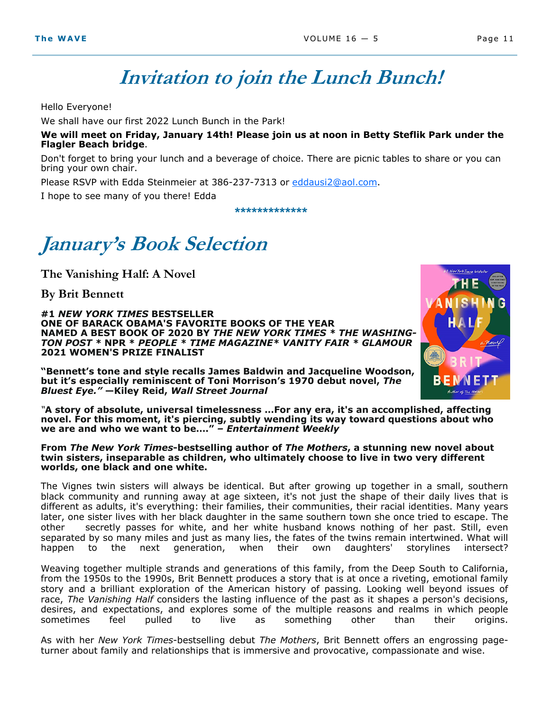## **Invitation to join the Lunch Bunch!**

Hello Everyone!

We shall have our first 2022 Lunch Bunch in the Park!

**We will meet on Friday, January 14th! Please join us at noon in Betty Steflik Park under the Flagler Beach bridge**.

Don't forget to bring your lunch and a beverage of choice. There are picnic tables to share or you can bring your own chair.

Please RSVP with Edda Steinmeier at 386-237-7313 or eddausi2@aol.com.

I hope to see many of you there! Edda

**\*\*\*\*\*\*\*\*\*\*\*\*\***

# **January's Book Selection**

**The Vanishing Half: A Novel** 

**By Brit Bennett**

**#1** *NEW YORK TIMES* **BESTSELLER ONE OF BARACK OBAMA'S FAVORITE BOOKS OF THE YEAR NAMED A BEST BOOK OF 2020 BY** *THE NEW YORK TIMES \* THE WASHING-TON POST \** **NPR \*** *PEOPLE \* TIME MAGAZINE\* VANITY FAIR \* GLAMOUR*  **2021 WOMEN'S PRIZE FINALIST**



*"***A story of absolute, universal timelessness …For any era, it's an accomplished, affecting novel. For this moment, it's piercing, subtly wending its way toward questions about who we are and who we want to be…."** *– Entertainment Weekly*

**From** *The New York Times***-bestselling author of** *The Mothers***, a stunning new novel about twin sisters, inseparable as children, who ultimately choose to live in two very different worlds, one black and one white.**

The Vignes twin sisters will always be identical. But after growing up together in a small, southern black community and running away at age sixteen, it's not just the shape of their daily lives that is different as adults, it's everything: their families, their communities, their racial identities. Many years later, one sister lives with her black daughter in the same southern town she once tried to escape. The other secretly passes for white, and her white husband knows nothing of her past. Still, even separated by so many miles and just as many lies, the fates of the twins remain intertwined. What will hannen<br>hannen to the next generation. when their own daughters' storylines intersect? happen to the next generation, when their own daughters' storylines intersect?

Weaving together multiple strands and generations of this family, from the Deep South to California, from the 1950s to the 1990s, Brit Bennett produces a story that is at once a riveting, emotional family story and a brilliant exploration of the American history of passing*.* Looking well beyond issues of race, *The Vanishing Half* considers the lasting influence of the past as it shapes a person's decisions, desires, and expectations, and explores some of the multiple reasons and realms in which people sometimes feel pulled to live as something other than their origins.

As with her *New York Times*-bestselling debut *The Mothers*, Brit Bennett offers an engrossing pageturner about family and relationships that is immersive and provocative, compassionate and wise.